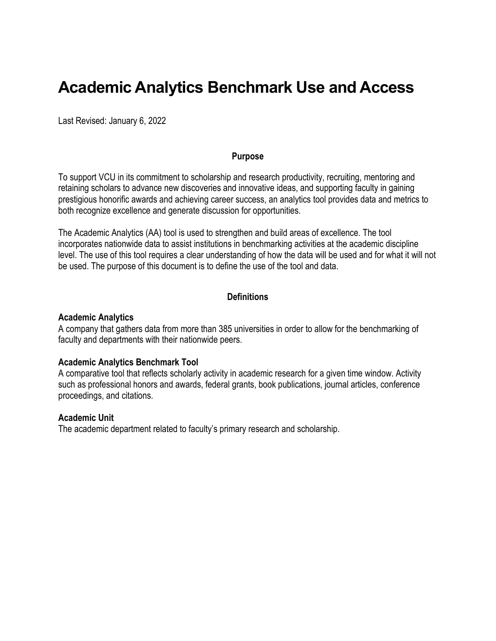# **Academic Analytics Benchmark Use and Access**

Last Revised: January 6, 2022

#### **Purpose**

To support VCU in its commitment to scholarship and research productivity, recruiting, mentoring and retaining scholars to advance new discoveries and innovative ideas, and supporting faculty in gaining prestigious honorific awards and achieving career success, an analytics tool provides data and metrics to both recognize excellence and generate discussion for opportunities.

The Academic Analytics (AA) tool is used to strengthen and build areas of excellence. The tool incorporates nationwide data to assist institutions in benchmarking activities at the academic discipline level. The use of this tool requires a clear understanding of how the data will be used and for what it will not be used. The purpose of this document is to define the use of the tool and data.

#### **Definitions**

#### **Academic Analytics**

A company that gathers data from more than 385 universities in order to allow for the benchmarking of faculty and departments with their nationwide peers.

#### **Academic Analytics Benchmark Tool**

A comparative tool that reflects scholarly activity in academic research for a given time window. Activity such as professional honors and awards, federal grants, book publications, journal articles, conference proceedings, and citations.

#### **Academic Unit**

The academic department related to faculty's primary research and scholarship.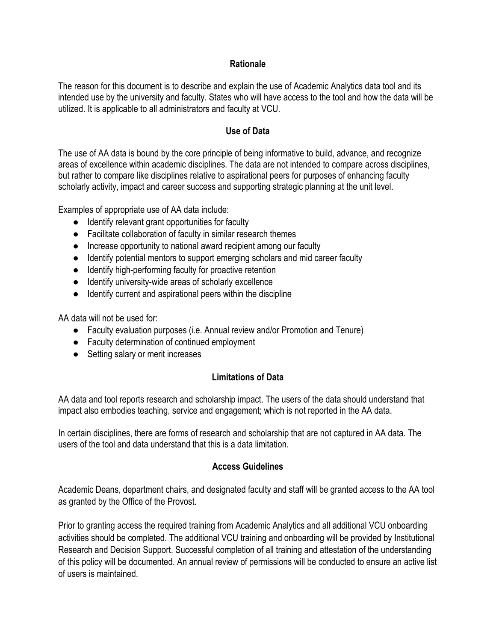## **Rationale**

The reason for this document is to describe and explain the use of Academic Analytics data tool and its intended use by the university and faculty. States who will have access to the tool and how the data will be utilized. It is applicable to all administrators and faculty at VCU.

## **Use of Data**

The use of AA data is bound by the core principle of being informative to build, advance, and recognize areas of excellence within academic disciplines. The data are not intended to compare across disciplines, but rather to compare like disciplines relative to aspirational peers for purposes of enhancing faculty scholarly activity, impact and career success and supporting strategic planning at the unit level.

Examples of appropriate use of AA data include:

- Identify relevant grant opportunities for faculty
- Facilitate collaboration of faculty in similar research themes
- Increase opportunity to national award recipient among our faculty
- Identify potential mentors to support emerging scholars and mid career faculty
- Identify high-performing faculty for proactive retention
- Identify university-wide areas of scholarly excellence
- Identify current and aspirational peers within the discipline

AA data will not be used for:

- Faculty evaluation purposes (i.e. Annual review and/or Promotion and Tenure)
- Faculty determination of continued employment
- Setting salary or merit increases

## **Limitations of Data**

AA data and tool reports research and scholarship impact. The users of the data should understand that impact also embodies teaching, service and engagement; which is not reported in the AA data.

In certain disciplines, there are forms of research and scholarship that are not captured in AA data. The users of the tool and data understand that this is a data limitation.

### **Access Guidelines**

Academic Deans, department chairs, and designated faculty and staff will be granted access to the AA tool as granted by the Office of the Provost.

Prior to granting access the required training from Academic Analytics and all additional VCU onboarding activities should be completed. The additional VCU training and onboarding will be provided by Institutional Research and Decision Support. Successful completion of all training and attestation of the understanding of this policy will be documented. An annual review of permissions will be conducted to ensure an active list of users is maintained.